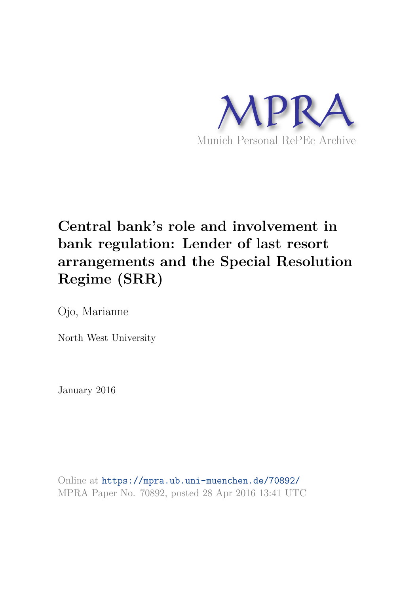

# **Central bank's role and involvement in bank regulation: Lender of last resort arrangements and the Special Resolution Regime (SRR)**

Ojo, Marianne

North West University

January 2016

Online at https://mpra.ub.uni-muenchen.de/70892/ MPRA Paper No. 70892, posted 28 Apr 2016 13:41 UTC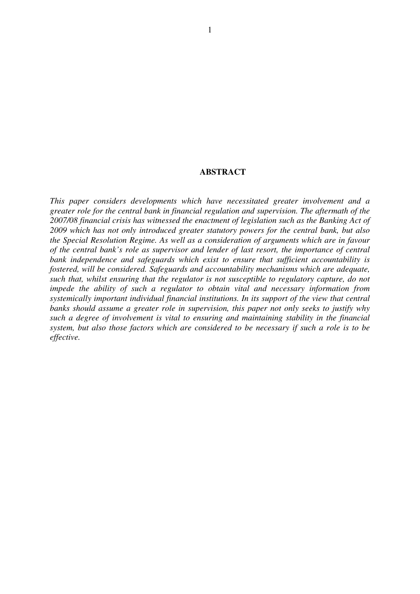# **ABSTRACT**

*This paper considers developments which have necessitated greater involvement and a greater role for the central bank in financial regulation and supervision. The aftermath of the 2007/08 financial crisis has witnessed the enactment of legislation such as the Banking Act of 2009 which has not only introduced greater statutory powers for the central bank, but also the Special Resolution Regime. As well as a consideration of arguments which are in favour of the central bank's role as supervisor and lender of last resort, the importance of central bank independence and safeguards which exist to ensure that sufficient accountability is fostered, will be considered. Safeguards and accountability mechanisms which are adequate, such that, whilst ensuring that the regulator is not susceptible to regulatory capture, do not impede the ability of such a regulator to obtain vital and necessary information from systemically important individual financial institutions. In its support of the view that central banks should assume a greater role in supervision, this paper not only seeks to justify why such a degree of involvement is vital to ensuring and maintaining stability in the financial system, but also those factors which are considered to be necessary if such a role is to be effective.*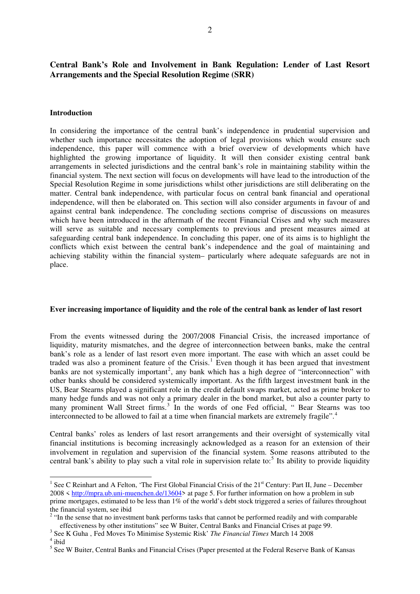# **Central Bank's Role and Involvement in Bank Regulation: Lender of Last Resort Arrangements and the Special Resolution Regime (SRR)**

#### **Introduction**

In considering the importance of the central bank's independence in prudential supervision and whether such importance necessitates the adoption of legal provisions which would ensure such independence, this paper will commence with a brief overview of developments which have highlighted the growing importance of liquidity. It will then consider existing central bank arrangements in selected jurisdictions and the central bank's role in maintaining stability within the financial system. The next section will focus on developments will have lead to the introduction of the Special Resolution Regime in some jurisdictions whilst other jurisdictions are still deliberating on the matter. Central bank independence, with particular focus on central bank financial and operational independence, will then be elaborated on. This section will also consider arguments in favour of and against central bank independence. The concluding sections comprise of discussions on measures which have been introduced in the aftermath of the recent Financial Crises and why such measures will serve as suitable and necessary complements to previous and present measures aimed at safeguarding central bank independence. In concluding this paper, one of its aims is to highlight the conflicts which exist between the central bank's independence and the goal of maintaining and achieving stability within the financial system– particularly where adequate safeguards are not in place.

#### **Ever increasing importance of liquidity and the role of the central bank as lender of last resort**

From the events witnessed during the 2007/2008 Financial Crisis, the increased importance of liquidity, maturity mismatches, and the degree of interconnection between banks, make the central bank's role as a lender of last resort even more important. The ease with which an asset could be traded was also a prominent feature of the Crisis.<sup>[1](#page-2-0)</sup> Even though it has been argued that investment banks are not systemically important<sup>[2](#page-2-1)</sup>, any bank which has a high degree of "interconnection" with other banks should be considered systemically important. As the fifth largest investment bank in the US, Bear Stearns played a significant role in the credit default swaps market, acted as prime broker to many hedge funds and was not only a primary dealer in the bond market, but also a counter party to many prominent Wall Street firms.<sup>[3](#page-2-2)</sup> In the words of one Fed official, " Bear Stearns was too interconnected to be allowed to fail at a time when financial markets are extremely fragile".[4](#page-2-3)

Central banks' roles as lenders of last resort arrangements and their oversight of systemically vital financial institutions is becoming increasingly acknowledged as a reason for an extension of their involvement in regulation and supervision of the financial system. Some reasons attributed to the central bank's ability to play such a vital role in supervision relate to:<sup>[5](#page-2-4)</sup> Its ability to provide liquidity

<span id="page-2-2"></span><sup>3</sup> See K Guha, Fed Moves To Minimise Systemic Risk' *The Financial Times* March 14 2008

<span id="page-2-0"></span><sup>1&</sup>lt;br><sup>1</sup> See C Reinhart and A Felton, 'The First Global Financial Crisis of the 21<sup>st</sup> Century: Part II, June – December 2008 < [http://mpra.ub.uni-muenchen.de/13604>](http://mpra.ub.uni-muenchen.de/13604) at page 5. For further information on how a problem in sub prime mortgages, estimated to be less than 1% of the world's debt stock triggered a series of failures throughout the financial system, see ibid

<span id="page-2-1"></span><sup>&</sup>lt;sup>2</sup> "In the sense that no investment bank performs tasks that cannot be performed readily and with comparable effectiveness by other institutions" see W Buiter, Central Banks and Financial Crises at page 99.

<span id="page-2-3"></span><sup>4</sup> ibid

<span id="page-2-4"></span><sup>&</sup>lt;sup>5</sup> See W Buiter, Central Banks and Financial Crises (Paper presented at the Federal Reserve Bank of Kansas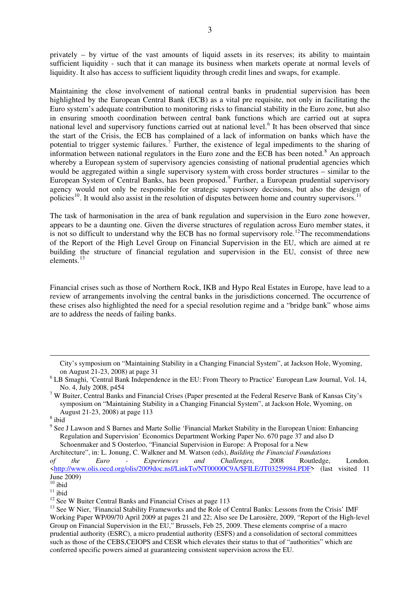privately – by virtue of the vast amounts of liquid assets in its reserves; its ability to maintain sufficient liquidity - such that it can manage its business when markets operate at normal levels of liquidity. It also has access to sufficient liquidity through credit lines and swaps, for example.

Maintaining the close involvement of national central banks in prudential supervision has been highlighted by the European Central Bank (ECB) as a vital pre requisite, not only in facilitating the Euro system's adequate contribution to monitoring risks to financial stability in the Euro zone, but also in ensuring smooth coordination between central bank functions which are carried out at supra national level and supervisory functions carried out at national level.<sup>[6](#page-3-0)</sup> It has been observed that since the start of the Crisis, the ECB has complained of a lack of information on banks which have the potential to trigger systemic failures.<sup>[7](#page-3-1)</sup> Further, the existence of legal impediments to the sharing of information between national regulators in the Euro zone and the ECB has been noted.<sup>[8](#page-3-2)</sup> An approach whereby a European system of supervisory agencies consisting of national prudential agencies which would be aggregated within a single supervisory system with cross border structures – similar to the European System of Central Banks, has been proposed.<sup>[9](#page-3-3)</sup> Further, a European prudential supervisory agency would not only be responsible for strategic supervisory decisions, but also the design of policies<sup>[10](#page-3-4)</sup>. It would also assist in the resolution of disputes between home and country supervisors.<sup>[11](#page-3-5)</sup>

The task of harmonisation in the area of bank regulation and supervision in the Euro zone however, appears to be a daunting one. Given the diverse structures of regulation across Euro member states, it is not so difficult to understand why the ECB has no formal supervisory role.<sup>[12](#page-3-6)</sup>The recommendations of the Report of the High Level Group on Financial Supervision in the EU, which are aimed at re building the structure of financial regulation and supervision in the EU, consist of three new elements.[13](#page-3-7)

Financial crises such as those of Northern Rock, IKB and Hypo Real Estates in Europe, have lead to a review of arrangements involving the central banks in the jurisdictions concerned. The occurrence of these crises also highlighted the need for a special resolution regime and a "bridge bank" whose aims are to address the needs of failing banks.

-

<sup>9</sup> See J Lawson and S Barnes and Marte Sollie 'Financial Market Stability in the European Union: Enhancing Regulation and Supervision' Economics Department Working Paper No. 670 page 37 and also D Schoenmaker and S Oosterloo, "Financial Supervision in Europe: A Proposal for a New

Architecture", in: L. Jonung, C. Walkner and M. Watson (eds), *Building the Financial Foundations of the Euro - Experiences and Challenges*, 2008 Routledge, London. [<http://www.olis.oecd.org/olis/2009doc.nsf/LinkTo/NT00000C9A/\\$FILE/JT03259984.PDF>](http://www.olis.oecd.org/olis/2009doc.nsf/LinkTo/NT00000C9A/$FILE/JT03259984.PDF) (last visited 11 June 2009)

City's symposium on "Maintaining Stability in a Changing Financial System", at Jackson Hole, Wyoming, on August 21-23, 2008) at page 31

<span id="page-3-0"></span><sup>&</sup>lt;sup>6</sup> LB Smaghi, 'Central Bank Independence in the EU: From Theory to Practice' European Law Journal, Vol. 14, No. 4, July 2008, p454

<span id="page-3-1"></span><sup>&</sup>lt;sup>7</sup> W Buiter, Central Banks and Financial Crises (Paper presented at the Federal Reserve Bank of Kansas City's symposium on "Maintaining Stability in a Changing Financial System", at Jackson Hole, Wyoming, on August 21-23, 2008) at page 113

<span id="page-3-3"></span><span id="page-3-2"></span><sup>8</sup> ibid

<span id="page-3-4"></span> $^{10}$ ibid

<span id="page-3-5"></span> $11$  ibid

<span id="page-3-6"></span><sup>&</sup>lt;sup>12</sup> See W Buiter Central Banks and Financial Crises at page 113

<span id="page-3-7"></span><sup>&</sup>lt;sup>13</sup> See W Nier, 'Financial Stability Frameworks and the Role of Central Banks: Lessons from the Crisis' IMF Working Paper WP/09/70 April 2009 at pages 21 and 22; Also see De Larosière, 2009, "Report of the High-level Group on Financial Supervision in the EU," Brussels, Feb 25, 2009. These elements comprise of a macro prudential authority (ESRC), a micro prudential authority (ESFS) and a consolidation of sectoral committees such as those of the CEBS,CEIOPS and CESR which elevates their status to that of "authorities" which are conferred specific powers aimed at guaranteeing consistent supervision across the EU.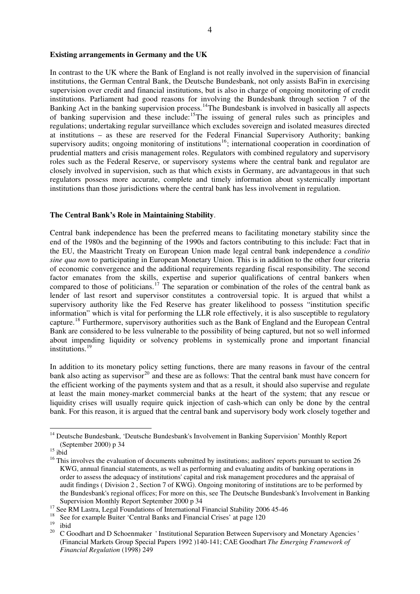#### **Existing arrangements in Germany and the UK**

In contrast to the UK where the Bank of England is not really involved in the supervision of financial institutions, the German Central Bank, the Deutsche Bundesbank, not only assists BaFin in exercising supervision over credit and financial institutions, but is also in charge of ongoing monitoring of credit institutions. Parliament had good reasons for involving the Bundesbank through section 7 of the Banking Act in the banking supervision process.<sup>[14](#page-4-0)</sup>The Bundesbank is involved in basically all aspects of banking supervision and these include:[15](#page-4-1)The issuing of general rules such as principles and regulations; undertaking regular surveillance which excludes sovereign and isolated measures directed at institutions – as these are reserved for the Federal Financial Supervisory Authority; banking supervisory audits; ongoing monitoring of institutions<sup>[16](#page-4-2)</sup>; international cooperation in coordination of prudential matters and crisis management roles. Regulators with combined regulatory and supervisory roles such as the Federal Reserve, or supervisory systems where the central bank and regulator are closely involved in supervision, such as that which exists in Germany, are advantageous in that such regulators possess more accurate, complete and timely information about systemically important institutions than those jurisdictions where the central bank has less involvement in regulation.

### **The Central Bank's Role in Maintaining Stability**.

Central bank independence has been the preferred means to facilitating monetary stability since the end of the 1980s and the beginning of the 1990s and factors contributing to this include: Fact that in the EU, the Maastricht Treaty on European Union made legal central bank independence a *conditio sine qua non* to participating in European Monetary Union. This is in addition to the other four criteria of economic convergence and the additional requirements regarding fiscal responsibility. The second factor emanates from the skills, expertise and superior qualifications of central bankers when compared to those of politicians.<sup>[17](#page-4-3)</sup> The separation or combination of the roles of the central bank as lender of last resort and supervisor constitutes a controversial topic. It is argued that whilst a supervisory authority like the Fed Reserve has greater likelihood to possess "institution specific information" which is vital for performing the LLR role effectively, it is also susceptible to regulatory capture.[18](#page-4-4) Furthermore, supervisory authorities such as the Bank of England and the European Central Bank are considered to be less vulnerable to the possibility of being captured, but not so well informed about impending liquidity or solvency problems in systemically prone and important financial institutions.[19](#page-4-5)

In addition to its monetary policy setting functions, there are many reasons in favour of the central bank also acting as supervisor<sup>[20](#page-4-6)</sup> and these are as follows: That the central bank must have concern for the efficient working of the payments system and that as a result, it should also supervise and regulate at least the main money-market commercial banks at the heart of the system; that any rescue or liquidity crises will usually require quick injection of cash-which can only be done by the central bank. For this reason, it is argued that the central bank and supervisory body work closely together and

<u>.</u>

<span id="page-4-0"></span><sup>&</sup>lt;sup>14</sup> Deutsche Bundesbank, 'Deutsche Bundesbank's Involvement in Banking Supervision' Monthly Report (September 2000) p 34

<span id="page-4-1"></span> $15$  ibid

<span id="page-4-2"></span><sup>&</sup>lt;sup>16</sup> This involves the evaluation of documents submitted by institutions; auditors' reports pursuant to section 26 KWG, annual financial statements, as well as performing and evaluating audits of banking operations in order to assess the adequacy of institutions' capital and risk management procedures and the appraisal of audit findings ( Division 2 , Section 7 of KWG). Ongoing monitoring of institutions are to be performed by the Bundesbank's regional offices; For more on this, see The Deutsche Bundesbank's Involvement in Banking Supervision Monthly Report September 2000 p 34

<span id="page-4-3"></span><sup>&</sup>lt;sup>17</sup> See RM Lastra, Legal Foundations of International Financial Stability 2006 45-46

<span id="page-4-4"></span><sup>&</sup>lt;sup>18</sup> See for example Buiter 'Central Banks and Financial Crises' at page 120

<span id="page-4-6"></span><span id="page-4-5"></span> $\frac{19}{20}$  ibid

<sup>20</sup> C Goodhart and D Schoenmaker ' Institutional Separation Between Supervisory and Monetary Agencies ' (Financial Markets Group Special Papers 1992 )140-141; CAE Goodhart *The Emerging Framework of Financial Regulation* (1998) 249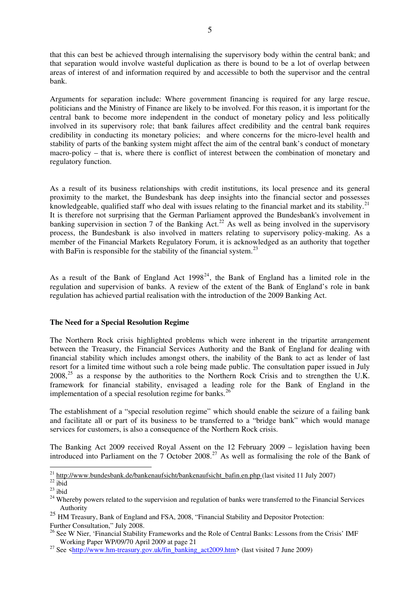that this can best be achieved through internalising the supervisory body within the central bank; and that separation would involve wasteful duplication as there is bound to be a lot of overlap between areas of interest of and information required by and accessible to both the supervisor and the central bank.

Arguments for separation include: Where government financing is required for any large rescue, politicians and the Ministry of Finance are likely to be involved. For this reason, it is important for the central bank to become more independent in the conduct of monetary policy and less politically involved in its supervisory role; that bank failures affect credibility and the central bank requires credibility in conducting its monetary policies; and where concerns for the micro-level health and stability of parts of the banking system might affect the aim of the central bank's conduct of monetary macro-policy – that is, where there is conflict of interest between the combination of monetary and regulatory function.

As a result of its business relationships with credit institutions, its local presence and its general proximity to the market, the Bundesbank has deep insights into the financial sector and possesses knowledgeable, qualified staff who deal with issues relating to the financial market and its stability.<sup>[21](#page-5-0)</sup> It is therefore not surprising that the German Parliament approved the Bundesbank's involvement in banking supervision in section 7 of the Banking Act.<sup>[22](#page-5-1)</sup> As well as being involved in the supervisory process, the Bundesbank is also involved in matters relating to supervisory policy-making. As a member of the Financial Markets Regulatory Forum, it is acknowledged as an authority that together with BaFin is responsible for the stability of the financial system.<sup>[23](#page-5-2)</sup>

As a result of the Bank of England Act  $1998^{24}$  $1998^{24}$  $1998^{24}$ , the Bank of England has a limited role in the regulation and supervision of banks. A review of the extent of the Bank of England's role in bank regulation has achieved partial realisation with the introduction of the 2009 Banking Act.

# **The Need for a Special Resolution Regime**

The Northern Rock crisis highlighted problems which were inherent in the tripartite arrangement between the Treasury, the Financial Services Authority and the Bank of England for dealing with financial stability which includes amongst others, the inability of the Bank to act as lender of last resort for a limited time without such a role being made public. The consultation paper issued in July  $2008<sup>25</sup>$  $2008<sup>25</sup>$  $2008<sup>25</sup>$  as a response by the authorities to the Northern Rock Crisis and to strengthen the U.K. framework for financial stability, envisaged a leading role for the Bank of England in the implementation of a special resolution regime for banks.<sup>[26](#page-5-5)</sup>

The establishment of a "special resolution regime" which should enable the seizure of a failing bank and facilitate all or part of its business to be transferred to a "bridge bank" which would manage services for customers, is also a consequence of the Northern Rock crisis.

The Banking Act 2009 received Royal Assent on the 12 February 2009 – legislation having been introduced into Parliament on the 7 October 2008.<sup>[27](#page-5-6)</sup> As well as formalising the role of the Bank of

<sup>&</sup>lt;u>.</u> <sup>21</sup> http://www.bundesbank.de/bankenaufsicht/bankenaufsicht\_bafin.en.php (last visited 11 July 2007)

<span id="page-5-1"></span><span id="page-5-0"></span> $^{22}$  ibid

<span id="page-5-2"></span> $^{23}$  ibid

<span id="page-5-3"></span><sup>&</sup>lt;sup>24</sup> Whereby powers related to the supervision and regulation of banks were transferred to the Financial Services Authority

<span id="page-5-4"></span><sup>&</sup>lt;sup>25</sup> HM Treasury, Bank of England and FSA, 2008, "Financial Stability and Depositor Protection: Further Consultation," July 2008.

<span id="page-5-5"></span><sup>&</sup>lt;sup>26</sup> See W Nier, 'Financial Stability Frameworks and the Role of Central Banks: Lessons from the Crisis' IMF Working Paper WP/09/70 April 2009 at page 21

<span id="page-5-6"></span><sup>&</sup>lt;sup>27</sup> See [<http://www.hm-treasury.gov.uk/fin\\_banking\\_act2009.htm>](http://www.hm-treasury.gov.uk/fin_banking_act2009.htm) (last visited 7 June 2009)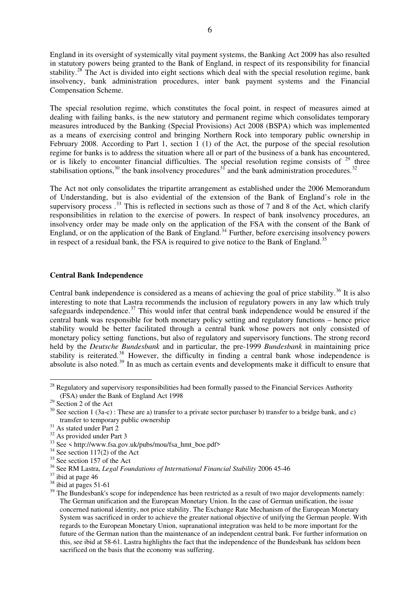England in its oversight of systemically vital payment systems, the Banking Act 2009 has also resulted in statutory powers being granted to the Bank of England, in respect of its responsibility for financial stability.<sup>[28](#page-6-0)</sup> The Act is divided into eight sections which deal with the special resolution regime, bank insolvency, bank administration procedures, inter bank payment systems and the Financial Compensation Scheme.

The special resolution regime, which constitutes the focal point, in respect of measures aimed at dealing with failing banks, is the new statutory and permanent regime which consolidates temporary measures introduced by the Banking (Special Provisions) Act 2008 (BSPA) which was implemented as a means of exercising control and bringing Northern Rock into temporary public ownership in February 2008. According to Part 1, section 1 (1) of the Act, the purpose of the special resolution regime for banks is to address the situation where all or part of the business of a bank has encountered, or is likely to encounter financial difficulties. The special resolution regime consists of  $29$  three stabilisation options,  $30$  the bank insolvency procedures  $31$  and the bank administration procedures.  $32$ 

The Act not only consolidates the tripartite arrangement as established under the 2006 Memorandum of Understanding, but is also evidential of the extension of the Bank of England's role in the supervisory process .<sup>[33](#page-6-5)</sup> This is reflected in sections such as those of 7 and 8 of the Act, which clarify responsibilities in relation to the exercise of powers. In respect of bank insolvency procedures, an insolvency order may be made only on the application of the FSA with the consent of the Bank of England, or on the application of the Bank of England.<sup>[34](#page-6-6)</sup> Further, before exercising insolvency powers in respect of a residual bank, the FSA is required to give notice to the Bank of England.<sup>[35](#page-6-7)</sup>

#### **Central Bank Independence**

Central bank independence is considered as a means of achieving the goal of price stability.<sup>[36](#page-6-8)</sup> It is also interesting to note that Lastra recommends the inclusion of regulatory powers in any law which truly safeguards independence.<sup>[37](#page-6-9)</sup> This would infer that central bank independence would be ensured if the central bank was responsible for both monetary policy setting and regulatory functions – hence price stability would be better facilitated through a central bank whose powers not only consisted of monetary policy setting functions, but also of regulatory and supervisory functions. The strong record held by the *Deutsche Bundesbank* and in particular, the pre-1999 *Bundesbank* in maintaining price stability is reiterated.<sup>[38](#page-6-10)</sup> However, the difficulty in finding a central bank whose independence is absolute is also noted.<sup>[39](#page-6-11)</sup> In as much as certain events and developments make it difficult to ensure that

-

<span id="page-6-0"></span> $^{28}$  Regulatory and supervisory responsibilities had been formally passed to the Financial Services Authority (FSA) under the Bank of England Act 1998

<span id="page-6-1"></span> $29$  Section 2 of the Act

<span id="page-6-2"></span><sup>&</sup>lt;sup>30</sup> See section 1 (3a-c) : These are a) transfer to a private sector purchaser b) transfer to a bridge bank, and c) transfer to temporary public ownership

<span id="page-6-3"></span> $31$  As stated under Part 2

<span id="page-6-4"></span><sup>&</sup>lt;sup>32</sup> As provided under Part 3

<span id="page-6-5"></span> $33$  See < http://www.fsa.gov.uk/pubs/mou/fsa\_hmt\_boe.pdf>

<span id="page-6-6"></span> $34$  See section 117(2) of the Act

<span id="page-6-7"></span><sup>&</sup>lt;sup>35</sup> See section 157 of the Act

<span id="page-6-8"></span><sup>36</sup> See RM Lastra, *Legal Foundations of International Financial Stability* 2006 45-46

<span id="page-6-9"></span> $37$  ibid at page 46

<span id="page-6-10"></span> $38$  ibid at pages 51-61

<span id="page-6-11"></span><sup>&</sup>lt;sup>39</sup> The Bundesbank's scope for independence has been restricted as a result of two major developments namely: The German unification and the European Monetary Union. In the case of German unification, the issue concerned national identity, not price stability. The Exchange Rate Mechanism of the European Monetary System was sacrificed in order to achieve the greater national objective of unifying the German people. With regards to the European Monetary Union, supranational integration was held to be more important for the future of the German nation than the maintenance of an independent central bank. For further information on this, see ibid at 58-61. Lastra highlights the fact that the independence of the Bundesbank has seldom been sacrificed on the basis that the economy was suffering.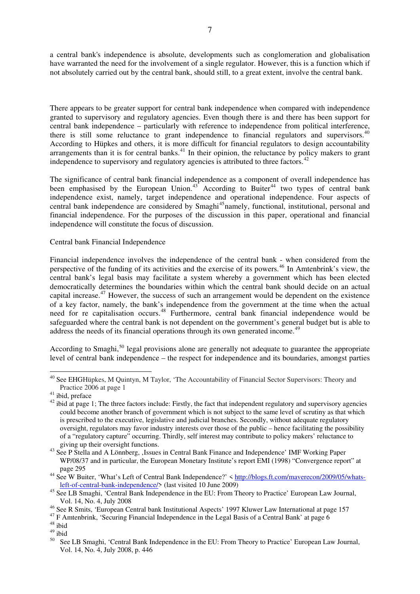a central bank's independence is absolute, developments such as conglomeration and globalisation have warranted the need for the involvement of a single regulator. However, this is a function which if not absolutely carried out by the central bank, should still, to a great extent, involve the central bank.

There appears to be greater support for central bank independence when compared with independence granted to supervisory and regulatory agencies. Even though there is and there has been support for central bank independence – particularly with reference to independence from political interference, there is still some reluctance to grant independence to financial regulators and supervisors. $40$ According to Hüpkes and others, it is more difficult for financial regulators to design accountability arrangements than it is for central banks.<sup>[41](#page-7-1)</sup> In their opinion, the reluctance by policy makers to grant independence to supervisory and regulatory agencies is attributed to three factors.<sup>[42](#page-7-2)</sup>

The significance of central bank financial independence as a component of overall independence has been emphasised by the European Union.<sup>[43](#page-7-3)</sup> According to Buiter<sup>[44](#page-7-4)</sup> two types of central bank independence exist, namely, target independence and operational independence. Four aspects of central bank independence are considered by Smaghi<sup>[45](#page-7-5)</sup>namely, functional, institutional, personal and financial independence. For the purposes of the discussion in this paper, operational and financial independence will constitute the focus of discussion.

# Central bank Financial Independence

Financial independence involves the independence of the central bank - when considered from the perspective of the funding of its activities and the exercise of its powers.<sup>[46](#page-7-6)</sup> In Amtenbrink's view, the central bank's legal basis may facilitate a system whereby a government which has been elected democratically determines the boundaries within which the central bank should decide on an actual capital increase.[47](#page-7-7) However, the success of such an arrangement would be dependent on the existence of a key factor, namely, the bank's independence from the government at the time when the actual need for re capitalisation occurs.<sup>[48](#page-7-8)</sup> Furthermore, central bank financial independence would be safeguarded where the central bank is not dependent on the government's general budget but is able to address the needs of its financial operations through its own generated income.<sup>[49](#page-7-9)</sup>

According to Smaghi, $50$  legal provisions alone are generally not adequate to guarantee the appropriate level of central bank independence – the respect for independence and its boundaries, amongst parties

<u>.</u>

<span id="page-7-0"></span><sup>&</sup>lt;sup>40</sup> See EHGHüpkes, M Quintyn, M Taylor, 'The Accountability of Financial Sector Supervisors: Theory and Practice 2006 at page 1

<span id="page-7-1"></span><sup>&</sup>lt;sup>41</sup> ibid, preface

<span id="page-7-2"></span><sup>&</sup>lt;sup>42</sup> ibid at page 1; The three factors include: Firstly, the fact that independent regulatory and supervisory agencies could become another branch of government which is not subject to the same level of scrutiny as that which is prescribed to the executive, legislative and judicial branches. Secondly, without adequate regulatory oversight, regulators may favor industry interests over those of the public – hence facilitating the possibility of a "regulatory capture" occurring. Thirdly, self interest may contribute to policy makers' reluctance to giving up their oversight functions.

<span id="page-7-3"></span><sup>&</sup>lt;sup>43</sup> See P Stella and A Lönnberg, , Issues in Central Bank Finance and Independence' IMF Working Paper WP/08/37 and in particular, the European Monetary Institute's report EMI (1998) "Convergence report" at page 295

<span id="page-7-4"></span><sup>&</sup>lt;sup>44</sup> See W Buiter, 'What's Left of Central Bank Independence?' < [http://blogs.ft.com/maverecon/2009/05/whats](http://blogs.ft.com/maverecon/2009/05/whats-left-of-central-bank-independence/)[left-of-central-bank-independence/](http://blogs.ft.com/maverecon/2009/05/whats-left-of-central-bank-independence/)> (last visited 10 June 2009)

<span id="page-7-5"></span><sup>&</sup>lt;sup>45</sup> See LB Smaghi, 'Central Bank Independence in the EU: From Theory to Practice' European Law Journal, Vol. 14, No. 4, July 2008

<span id="page-7-6"></span><sup>46</sup> See R Smits, 'European Central bank Institutional Aspects' 1997 Kluwer Law International at page 157

<sup>&</sup>lt;sup>47</sup> F Amtenbrink, 'Securing Financial Independence in the Legal Basis of a Central Bank' at page 6

<span id="page-7-7"></span><sup>48</sup> ibid

<span id="page-7-10"></span><span id="page-7-9"></span><span id="page-7-8"></span> $49$  ibid

See LB Smaghi, 'Central Bank Independence in the EU: From Theory to Practice' European Law Journal, Vol. 14, No. 4, July 2008, p. 446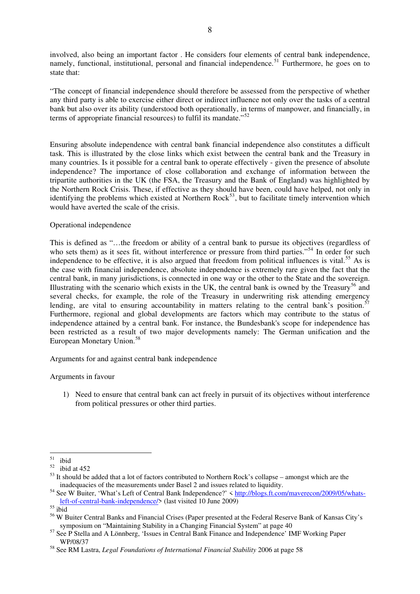involved, also being an important factor . He considers four elements of central bank independence, namely, functional, institutional, personal and financial independence.<sup>[51](#page-8-0)</sup> Furthermore, he goes on to state that:

"The concept of financial independence should therefore be assessed from the perspective of whether any third party is able to exercise either direct or indirect influence not only over the tasks of a central bank but also over its ability (understood both operationally, in terms of manpower, and financially, in terms of appropriate financial resources) to fulfil its mandate.<sup>"[52](#page-8-1)</sup>

Ensuring absolute independence with central bank financial independence also constitutes a difficult task. This is illustrated by the close links which exist between the central bank and the Treasury in many countries. Is it possible for a central bank to operate effectively - given the presence of absolute independence? The importance of close collaboration and exchange of information between the tripartite authorities in the UK (the FSA, the Treasury and the Bank of England) was highlighted by the Northern Rock Crisis. These, if effective as they should have been, could have helped, not only in identifying the problems which existed at Northern  $Rock^{53}$  $Rock^{53}$  $Rock^{53}$ , but to facilitate timely intervention which would have averted the scale of the crisis.

#### Operational independence

This is defined as "…the freedom or ability of a central bank to pursue its objectives (regardless of who sets them) as it sees fit, without interference or pressure from third parties."<sup>[54](#page-8-3)</sup> In order for such independence to be effective, it is also argued that freedom from political influences is vital.<sup>[55](#page-8-4)</sup> As is the case with financial independence, absolute independence is extremely rare given the fact that the central bank, in many jurisdictions, is connected in one way or the other to the State and the sovereign. Illustrating with the scenario which exists in the UK, the central bank is owned by the Treasury<sup>[56](#page-8-5)</sup> and several checks, for example, the role of the Treasury in underwriting risk attending emergency lending, are vital to ensuring accountability in matters relating to the central bank's position.<sup>5</sup> Furthermore, regional and global developments are factors which may contribute to the status of independence attained by a central bank. For instance, the Bundesbank's scope for independence has been restricted as a result of two major developments namely: The German unification and the European Monetary Union.<sup>[58](#page-8-7)</sup>

Arguments for and against central bank independence

# Arguments in favour

1) Need to ensure that central bank can act freely in pursuit of its objectives without interference from political pressures or other third parties.

<span id="page-8-1"></span><span id="page-8-0"></span> $51$  $\frac{51}{52}$  ibid

ibid at 452

<span id="page-8-2"></span> $53$  It should be added that a lot of factors contributed to Northern Rock's collapse – amongst which are the inadequacies of the measurements under Basel 2 and issues related to liquidity.

<span id="page-8-3"></span><sup>&</sup>lt;sup>54</sup> See W Buiter, 'What's Left of Central Bank Independence?' < [http://blogs.ft.com/maverecon/2009/05/whats](http://blogs.ft.com/maverecon/2009/05/whats-left-of-central-bank-independence/)[left-of-central-bank-independence/](http://blogs.ft.com/maverecon/2009/05/whats-left-of-central-bank-independence/)> (last visited 10 June 2009)

<span id="page-8-4"></span> $55$  ibid

<span id="page-8-5"></span><sup>56</sup> W Buiter Central Banks and Financial Crises (Paper presented at the Federal Reserve Bank of Kansas City's symposium on "Maintaining Stability in a Changing Financial System" at page 40

<span id="page-8-6"></span><sup>&</sup>lt;sup>57</sup> See P Stella and A Lönnberg, 'Issues in Central Bank Finance and Independence' IMF Working Paper WP/08/37

<span id="page-8-7"></span><sup>58</sup> See RM Lastra, *Legal Foundations of International Financial Stability* 2006 at page 58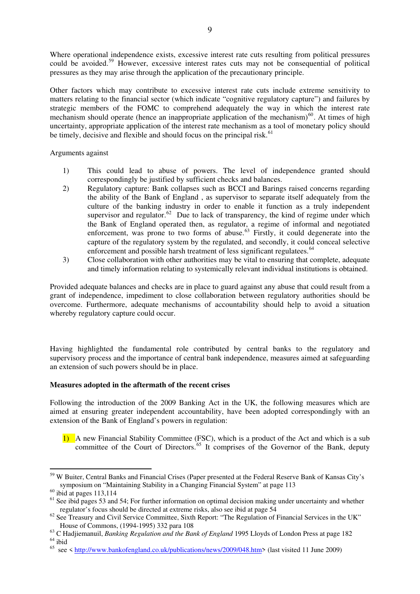Where operational independence exists, excessive interest rate cuts resulting from political pressures could be avoided.<sup>[59](#page-9-0)</sup> However, excessive interest rates cuts may not be consequential of political pressures as they may arise through the application of the precautionary principle.

Other factors which may contribute to excessive interest rate cuts include extreme sensitivity to matters relating to the financial sector (which indicate "cognitive regulatory capture") and failures by strategic members of the FOMC to comprehend adequately the way in which the interest rate mechanism should operate (hence an inappropriate application of the mechanism)<sup>[60](#page-9-1)</sup>. At times of high uncertainty, appropriate application of the interest rate mechanism as a tool of monetary policy should be timely, decisive and flexible and should focus on the principal risk.<sup>[61](#page-9-2)</sup>

Arguments against

- 1) This could lead to abuse of powers. The level of independence granted should correspondingly be justified by sufficient checks and balances.
- 2) Regulatory capture: Bank collapses such as BCCI and Barings raised concerns regarding the ability of the Bank of England , as supervisor to separate itself adequately from the culture of the banking industry in order to enable it function as a truly independent supervisor and regulator.<sup>[62](#page-9-3)</sup> Due to lack of transparency, the kind of regime under which the Bank of England operated then, as regulator, a regime of informal and negotiated enforcement, was prone to two forms of abuse. $63$  Firstly, it could degenerate into the capture of the regulatory system by the regulated, and secondly, it could conceal selective enforcement and possible harsh treatment of less significant regulatees.<sup>[64](#page-9-5)</sup>
- 3) Close collaboration with other authorities may be vital to ensuring that complete, adequate and timely information relating to systemically relevant individual institutions is obtained.

Provided adequate balances and checks are in place to guard against any abuse that could result from a grant of independence, impediment to close collaboration between regulatory authorities should be overcome. Furthermore, adequate mechanisms of accountability should help to avoid a situation whereby regulatory capture could occur.

Having highlighted the fundamental role contributed by central banks to the regulatory and supervisory process and the importance of central bank independence, measures aimed at safeguarding an extension of such powers should be in place.

# **Measures adopted in the aftermath of the recent crises**

Following the introduction of the 2009 Banking Act in the UK, the following measures which are aimed at ensuring greater independent accountability, have been adopted correspondingly with an extension of the Bank of England's powers in regulation:

1) A new Financial Stability Committee (FSC), which is a product of the Act and which is a sub committee of the Court of Directors. $65$  It comprises of the Governor of the Bank, deputy

<u>.</u>

<span id="page-9-0"></span><sup>&</sup>lt;sup>59</sup> W Buiter, Central Banks and Financial Crises (Paper presented at the Federal Reserve Bank of Kansas City's symposium on "Maintaining Stability in a Changing Financial System" at page 113

<span id="page-9-1"></span> $60$  ibid at pages 113,114

<span id="page-9-2"></span> $<sup>61</sup>$  See ibid pages 53 and 54; For further information on optimal decision making under uncertainty and whether</sup> regulator's focus should be directed at extreme risks, also see ibid at page 54

<span id="page-9-3"></span><sup>&</sup>lt;sup>62</sup> See Treasury and Civil Service Committee, Sixth Report: "The Regulation of Financial Services in the UK" House of Commons, (1994-1995) 332 para 108

<span id="page-9-4"></span><sup>63</sup> C Hadjiemanuil, *Banking Regulation and the Bank of England* 1995 Lloyds of London Press at page 182  $64$  ibid

<span id="page-9-6"></span><span id="page-9-5"></span> $65 \text{ sec}$  < <http://www.bankofengland.co.uk/publications/news/2009/048.htm>> (last visited 11 June 2009)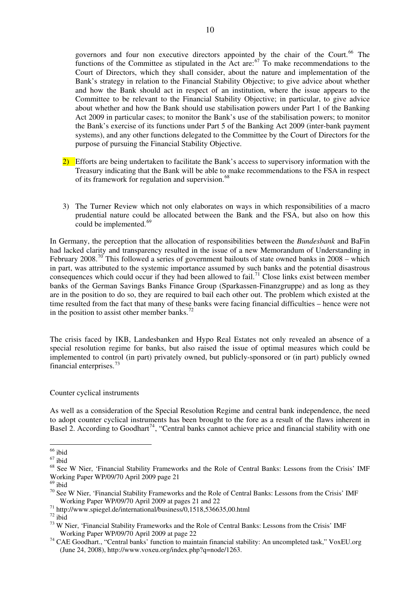governors and four non executive directors appointed by the chair of the Court.<sup>66</sup> The functions of the Committee as stipulated in the Act are: $67$  To make recommendations to the Court of Directors, which they shall consider, about the nature and implementation of the Bank's strategy in relation to the Financial Stability Objective; to give advice about whether and how the Bank should act in respect of an institution, where the issue appears to the Committee to be relevant to the Financial Stability Objective; in particular, to give advice about whether and how the Bank should use stabilisation powers under Part 1 of the Banking Act 2009 in particular cases; to monitor the Bank's use of the stabilisation powers; to monitor the Bank's exercise of its functions under Part 5 of the Banking Act 2009 (inter-bank payment systems), and any other functions delegated to the Committee by the Court of Directors for the purpose of pursuing the Financial Stability Objective.

- 2) Efforts are being undertaken to facilitate the Bank's access to supervisory information with the Treasury indicating that the Bank will be able to make recommendations to the FSA in respect of its framework for regulation and supervision.<sup>[68](#page-10-0)</sup>
- 3) The Turner Review which not only elaborates on ways in which responsibilities of a macro prudential nature could be allocated between the Bank and the FSA, but also on how this could be implemented.<sup>[69](#page-10-1)</sup>

In Germany, the perception that the allocation of responsibilities between the *Bundesbank* and BaFin had lacked clarity and transparency resulted in the issue of a new Memorandum of Understanding in February 2008.<sup>[70](#page-10-2)</sup> This followed a series of government bailouts of state owned banks in 2008 – which in part, was attributed to the systemic importance assumed by such banks and the potential disastrous consequences which could occur if they had been allowed to fail.<sup>[71](#page-10-3)</sup> Close links exist between member banks of the German Savings Banks Finance Group (Sparkassen-Finanzgruppe) and as long as they are in the position to do so, they are required to bail each other out. The problem which existed at the time resulted from the fact that many of these banks were facing financial difficulties – hence were not in the position to assist other member banks.<sup>[72](#page-10-4)</sup>

The crisis faced by IKB, Landesbanken and Hypo Real Estates not only revealed an absence of a special resolution regime for banks, but also raised the issue of optimal measures which could be implemented to control (in part) privately owned, but publicly-sponsored or (in part) publicly owned financial enterprises.<sup>[73](#page-10-5)</sup>

# Counter cyclical instruments

As well as a consideration of the Special Resolution Regime and central bank independence, the need to adopt counter cyclical instruments has been brought to the fore as a result of the flaws inherent in Basel 2. According to Goodhart<sup>[74](#page-10-6)</sup>, "Central banks cannot achieve price and financial stability with one

<sup>&</sup>lt;u>.</u> <sup>66</sup> ibid

 $67$  ibid

<span id="page-10-0"></span><sup>68</sup> See W Nier, 'Financial Stability Frameworks and the Role of Central Banks: Lessons from the Crisis' IMF Working Paper WP/09/70 April 2009 page 21

<span id="page-10-1"></span> $69$  ibid

<span id="page-10-2"></span><sup>&</sup>lt;sup>70</sup> See W Nier, 'Financial Stability Frameworks and the Role of Central Banks: Lessons from the Crisis' IMF Working Paper WP/09/70 April 2009 at pages 21 and 22

<span id="page-10-3"></span><sup>71</sup> http://www.spiegel.de/international/business/0,1518,536635,00.html

<span id="page-10-4"></span> $72$  ibid

<span id="page-10-5"></span><sup>&</sup>lt;sup>73</sup> W Nier, 'Financial Stability Frameworks and the Role of Central Banks: Lessons from the Crisis' IMF Working Paper WP/09/70 April 2009 at page 22

<span id="page-10-6"></span><sup>&</sup>lt;sup>74</sup> CAE Goodhart., "Central banks' function to maintain financial stability: An uncompleted task," VoxEU.org (June 24, 2008), http://www.voxeu.org/index.php?q=node/1263.